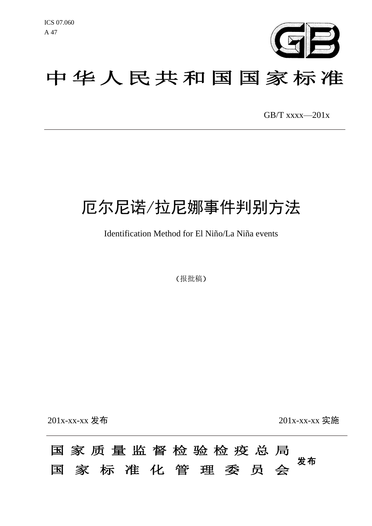

# 中华人民共和国国家标准

GB/T xxxx—201x

# 厄尔尼诺/拉尼娜事件判别方法

Identification Method for El Niño/La Niña events

(报批稿)

201x-xx-xx 发布 201x-xx-xx 实施

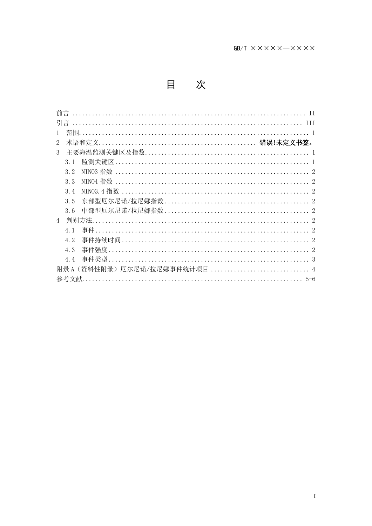|                | 引言                           |
|----------------|------------------------------|
|                | 茄围                           |
| 2              |                              |
| 3              |                              |
|                | 3.1                          |
|                | 3.2                          |
|                | 3.3                          |
|                | 3.4                          |
|                | 3.5                          |
|                | 3, 6                         |
| $\overline{4}$ | - 判别方法.                      |
|                | 4 <sub>1</sub>               |
|                | 4.2                          |
|                | 4.3                          |
|                | 4.4                          |
|                | 附录 A(资料性附录)厄尔尼诺/拉尼娜事件统计项目  4 |
|                | 参考文献<br>$5 - 6$              |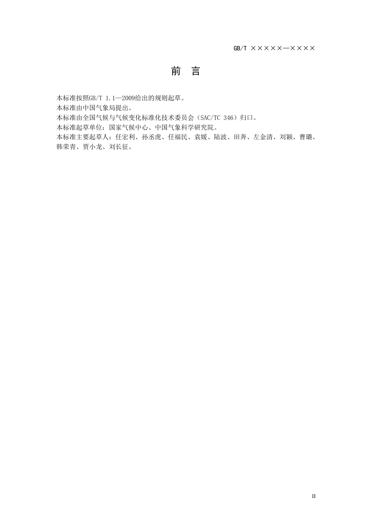## 前 言

本标准按照GB/T 1.1—2009给出的规则起草。 本标准由中国气象局提出。 本标准由全国气候与气候变化标准化技术委员会(SAC/TC 346)归口。 本标准起草单位:国家气候中心、中国气象科学研究院。 本标准主要起草人:任宏利、孙丞虎、任福民、袁媛、陆波、田奔、左金清、刘颖、曹璐、 韩荣青、贾小龙、刘长征。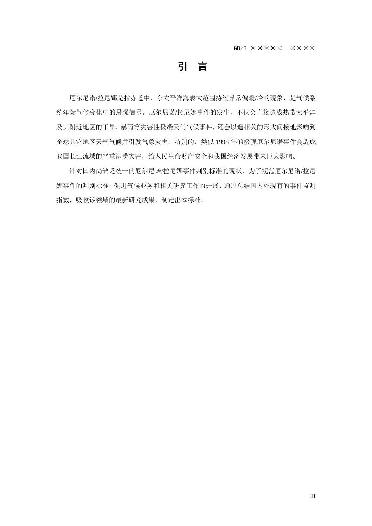引 言

厄尔尼诺/拉尼娜是指赤道中、东太平洋海表大范围持续异常偏暖/冷的现象,是气候系 统年际气候变化中的最强信号。厄尔尼诺/拉尼娜事件的发生,不仅会直接造成热带太平洋 及其附近地区的干旱、暴雨等灾害性极端天气气候事件,还会以遥相关的形式间接地影响到 全球其它地区天气气候并引发气象灾害。特别的,类似 1998 年的极强厄尔尼诺事件会造成 我国长江流域的严重洪涝灾害,给人民生命财产安全和我国经济发展带来巨大影响。

针对国内尚缺乏统一的厄尔尼诺/拉尼娜事件判别标准的现状,为了规范厄尔尼诺/拉尼 娜事件的判别标准,促进气候业务和相关研究工作的开展,通过总结国内外现有的事件监测 指数,吸收该领域的最新研究成果,制定出本标准。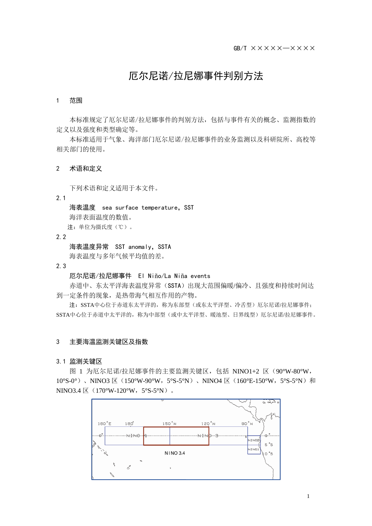## 厄尔尼诺/拉尼娜事件判别方法

#### 1 范围

本标准规定了厄尔尼诺/拉尼娜事件的判别方法,包括与事件有关的概念、监测指数的 定义以及强度和类型确定等。

本标准适用于气象、海洋部门厄尔尼诺/拉尼娜事件的业务监测以及科研院所、高校等 相关部门的使用。

#### 2 术语和定义

下列术语和定义适用于本文件。

2.1

海表温度 sea surface temperature, SST 海洋表面温度的数值。

注:单位为摄氏度(℃)。

2.2

海表温度异常 SST anomaly, SSTA 海表温度与多年气候平均值的差。

2.3

#### 厄尔尼诺/拉尼娜事件El Niño/La Niña events

赤道中、东太平洋海表温度异常(SSTA)出现大范围偏暖/偏冷、且强度和持续时间达 到一定条件的现象,是热带海气相互作用的产物。

注:SSTA中心位于赤道东太平洋的,称为东部型(或东太平洋型、冷舌型)厄尔尼诺/拉尼娜事件; SSTA中心位于赤道中太平洋的,称为中部型(或中太平洋型、暖池型、日界线型)厄尔尼诺/拉尼娜事件。

#### 3 主要海温监测关键区及指数

#### 3.1 监测关键区

图 1 为厄尔尼诺/拉尼娜事件的主要监测关键区,包括 NINO1+2 区(90°W-80°W,  $10\,$  S-0<sup>o</sup>), NINO3  $\overline{X}$  (150 W-90 W, 5 S-5 N), NINO4  $\overline{X}$  (160 E-150 W, 5 S-5 N)  $\overline{M}$  $NINO3.4 \times (170 W-120 W, 5 S-5 W)$ .

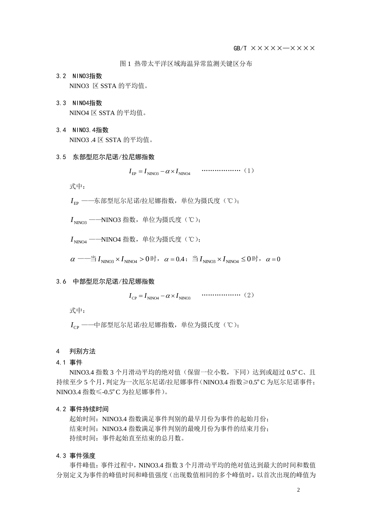图 1 热带太平洋区域海温异常监测关键区分布

- 3.2 NINO3指数 NINO3 区 SSTA 的平均值。
- 3.3 NINO4指数 NINO4 区 SSTA 的平均值。
- 3.4 NINO3.4指数 NINO3 .4  $\Sigma$  SSTA 的平均值。
- 3.5 东部型厄尔尼诺/拉尼娜指数

EP NINO3 NINO4 *I I I* """"""(1)

式中:

EP *I* ——东部型厄尔尼诺/拉尼娜指数,单位为摄氏度(℃);

 $I_{NNO3}$  --NINO3 指数, 单位为摄氏度(℃);

 $I_{NNOM}$  --NINO4 指数, 单位为摄氏度(℃);

 $\alpha \longrightarrow^\omega\!\!\!\!\!\!\perp I_{\rm NINO3} \times I_{\rm NINO4} > 0$  时, $\alpha = 0.4\,;\;\; \H\cong I_{\rm NINO3} \times I_{\rm NINO4} \leq 0$  时, $\alpha = 0$ 

#### 3.6 中部型厄尔尼诺/拉尼娜指数

CP NINO4 NINO3 *I I I* """"""(2)

式中:

 $I_{\text{CD}}$  ——中部型厄尔尼诺/拉尼娜指数,单位为摄氏度(℃);

#### 4 判别方法

4.1 事件

NINO3.4 指数 3 个月滑动平均的绝对值(保留一位小数,下同)达到或超过 0.5°C、且 持续至少 5 个月,判定为一次厄尔尼诺/拉尼娜事件(NINO3.4 指数≥0.5ºC 为厄尔尼诺事件; NINO3.4 指数≤-0.5ºC 为拉尼娜事件)。

#### 4.2 事件持续时间

起始时间: NINO3.4 指数满足事件判别的最早月份为事件的起始月份; 结束时间: NINO3.4 指数满足事件判别的最晚月份为事件的结束月份; 持续时间:事件起始直至结束的总月数。

#### 4.3 事件强度

事件峰值: 事件过程中, NINO3.4 指数 3 个月滑动平均的绝对值达到最大的时间和数值 分别定义为事件的峰值时间和峰值强度(出现数值相同的多个峰值时,以首次出现的峰值为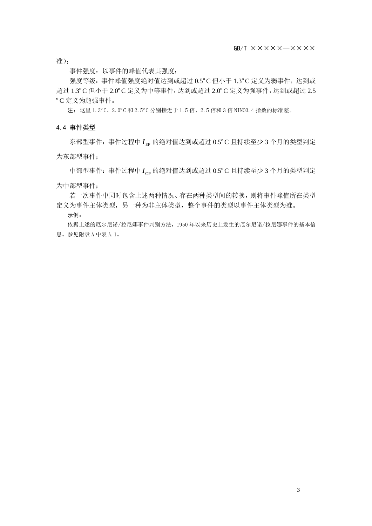准);

事件强度:以事件的峰值代表其强度;

强度等级:事件峰值强度绝对值达到或超过 0.5°C 但小于 1.3°C 定义为弱事件, 达到或 超过 1.3ºC 但小于 2.0ºC 定义为中等事件,达到或超过 2.0ºC 定义为强事件,达到或超过 2.5 ºC 定义为超强事件。

注:这里 1.3ºC、2.0ºC 和 2.5ºC 分别接近于 1.5 倍、2.5 倍和 3 倍 NINO3.4 指数的标准差。

4.4 事件类型

东部型事件: 事件过程中 I<sub>EP</sub> 的绝对值达到或超过 0.5°C 且持续至少 3 个月的类型判定

为东部型事件;

中部型事件: 事件过程中 I<sub>CP</sub> 的绝对值达到或超过 0.5°C 且持续至少 3 个月的类型判定

为中部型事件;

若一次事件中同时包含上述两种情况、存在两种类型间的转换,则将事件峰值所在类型 定义为事件主体类型,另一种为非主体类型,整个事件的类型以事件主体类型为准。

示例:

依据上述的厄尔尼诺/拉尼娜事件判别方法,1950 年以来历史上发生的厄尔尼诺/拉尼娜事件的基本信 息。参见附录 A 中表 A.1。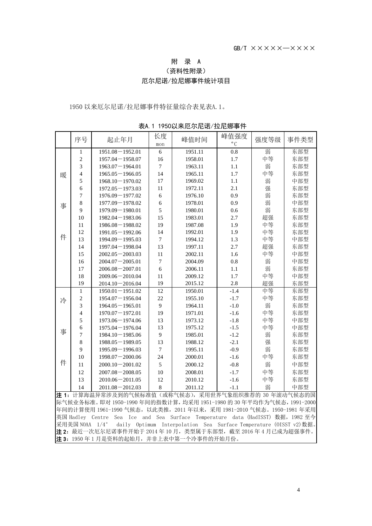### 附 录 A

(资料性附录)

### 厄尔尼诺/拉尼娜事件统计项目

以来厄尔尼诺/拉尼娜事件特征量综合表见表A.1。

|                                                          | 序号             | 起止年月                | 长度             | 峰值时间    | 峰值强度         | 强度等级 | 事件类型 |  |  |
|----------------------------------------------------------|----------------|---------------------|----------------|---------|--------------|------|------|--|--|
|                                                          |                |                     | mon            |         | $^{\circ}$ C |      |      |  |  |
|                                                          | 1              | $1951.08 - 1952.01$ | $\sqrt{6}$     | 1951.11 | 0.8          | 弱    | 东部型  |  |  |
| 暖<br>事<br>件                                              | $\sqrt{2}$     | $1957.04 - 1958.07$ | 16             | 1958.01 | 1.7          | 中等   | 东部型  |  |  |
|                                                          | 3              | $1963.07 - 1964.01$ | $\tau$         | 1963.11 | 1.1          | 弱    | 东部型  |  |  |
|                                                          | $\overline{4}$ | $1965.05 - 1966.05$ | 14             | 1965.11 | 1.7          | 中等   | 东部型  |  |  |
|                                                          | 5              | $1968.10 - 1970.02$ | 17             | 1969.02 | 1.1          | 弱    | 中部型  |  |  |
|                                                          | 6              | $1972.05 - 1973.03$ | 11             | 1972.11 | 2.1          | 强    | 东部型  |  |  |
|                                                          | $\overline{7}$ | $1976.09 - 1977.02$ | 6              | 1976.10 | 0.9          | 弱    | 东部型  |  |  |
|                                                          | 8              | $1977.09 - 1978.02$ | 6              | 1978.01 | 0.9          | 弱    | 中部型  |  |  |
|                                                          | 9              | $1979.09 - 1980.01$ | 5              | 1980.01 | 0.6          | 弱    | 东部型  |  |  |
|                                                          | 10             | $1982.04 - 1983.06$ | 15             | 1983.01 | 2.7          | 超强   | 东部型  |  |  |
|                                                          | 11             | $1986.08 - 1988.02$ | 19             | 1987.08 | 1.9          | 中等   | 东部型  |  |  |
|                                                          | 12             | $1991.05 - 1992.06$ | 14             | 1992.01 | 1.9          | 中等   | 东部型  |  |  |
|                                                          | 13             | $1994.09 - 1995.03$ | $\overline{7}$ | 1994.12 | 1.3          | 中等   | 中部型  |  |  |
|                                                          | 14             | $1997.04 - 1998.04$ | 13             | 1997.11 | 2.7          | 超强   | 东部型  |  |  |
|                                                          | 15             | $2002.05 - 2003.03$ | 11             | 2002.11 | 1.6          | 中等   | 中部型  |  |  |
|                                                          | 16             | $2004.07 - 2005.01$ | $\tau$         | 2004.09 | 0.8          | 弱    | 中部型  |  |  |
|                                                          | 17             | $2006.08 - 2007.01$ | 6              | 2006.11 | 1.1          | 弱    | 东部型  |  |  |
|                                                          | 18             | $2009.06 - 2010.04$ | 11             | 2009.12 | 1.7          | 中等   | 中部型  |  |  |
|                                                          | 19             | $2014.10 - 2016.04$ | 19             | 2015.12 | 2.8          | 超强   | 东部型  |  |  |
| 冷                                                        | $\mathbf{1}$   | $1950.01 - 1951.02$ | 12             | 1950.01 | $-1.4$       | 中等   | 东部型  |  |  |
|                                                          | $\overline{c}$ | $1954.07 - 1956.04$ | 22             | 1955.10 | $-1.7$       | 中等   | 东部型  |  |  |
|                                                          | 3              | $1964.05 - 1965.01$ | 9              | 1964.11 | $-1.0$       | 弱    | 东部型  |  |  |
|                                                          | $\overline{4}$ | $1970.07 - 1972.01$ | 19             | 1971.01 | $-1.6$       | 中等   | 东部型  |  |  |
| 事                                                        | 5              | $1973.06 - 1974.06$ | 13             | 1973.12 | $-1.8$       | 中等   | 中部型  |  |  |
|                                                          | 6              | $1975.04 - 1976.04$ | 13             | 1975.12 | $-1.5$       | 中等   | 中部型  |  |  |
|                                                          | 7              | $1984.10 - 1985.06$ | 9              | 1985.01 | $-1.2$       | 弱    | 东部型  |  |  |
|                                                          | $\,8\,$        | $1988.05 - 1989.05$ | 13             | 1988.12 | $-2.1$       | 强    | 东部型  |  |  |
|                                                          | 9              | $1995.09 - 1996.03$ | $\tau$         | 1995.11 | $-0.9$       | 弱    | 东部型  |  |  |
|                                                          | 10             | $1998.07 - 2000.06$ | 24             | 2000.01 | $-1.6$       | 中等   | 东部型  |  |  |
| 件                                                        | 11             | $2000.10 - 2001.02$ | 5              | 2000.12 | $-0.8$       | 弱    | 中部型  |  |  |
|                                                          | 12             | $2007.08 - 2008.05$ | 10             | 2008.01 | $-1.7$       | 中等   | 东部型  |  |  |
|                                                          | 13             | $2010.06 - 2011.05$ | 12             | 2010.12 | $-1.6$       | 中等   | 东部型  |  |  |
|                                                          | 14             | $2011.08 - 2012.03$ | 8              | 2011.12 | $-1.1$       | 弱    | 中部型  |  |  |
| 3. 注 1: 计算海温异常涉及到的气候标准值 (或称气候态), 采用世界气象组织推荐的 30 年滚动气候态的国 |                |                     |                |         |              |      |      |  |  |

表A.1 1950以来厄尔尼诺/拉尼娜事件

际气候业务标准。即对 1950-1990 年间的指数计算,均采用 1951-1980 的 30 年平均作为气候态,1991-2000 年间的计算使用 1961-1990 气候态,以此类推,2011 年以来,采用 1981-2010 气候态。1950-1981 年采用 英国 Hadley Centre Sea Ice and Sea Surface Temperature data (HadISST) 数据,1982 至今 采用美国 NOAA 1/4° daily Optimum Interpolation Sea Surface Temperature (OISST v2)数据。 注 2: 最近一次厄尔尼诺事件开始于 2014 年 10 月, 类型属于东部型, 截至 2016 年 4 月已成为超强事件。 注3: 1950年1月是资料的起始月,并非上表中第一个冷事件的开始月份。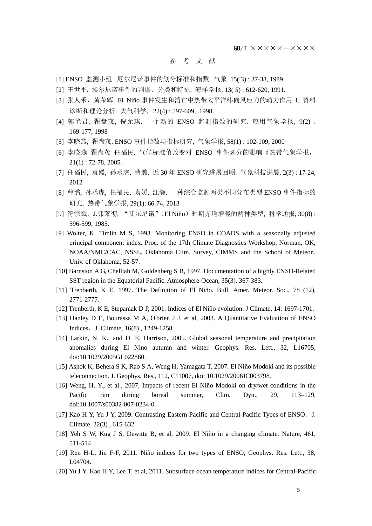GB/T ×××××—××××

#### 参 考 文 献

- [1] ENSO 监测小组. 厄尔尼诺事件的划分标准和指数. 气象, 15( 3) : 37-38, 1989.
- [2] 王世平. 埃尔尼诺事件的判据、分类和特征. 海洋学报, 13( 5) : 612-620, 1991.
- [3] 张人禾,黄荣辉. El Niño 事件发生和消亡中热带太平洋纬向风应力的动力作用 I. 资料 诊断和理论分析. 大气科学,22(4) : 597-609, .1998.
- [4] 郭艳君, 翟盘茂, 倪允琪. 一个新的 ENSO 监测指数的研究. 应用气象学报, 9(2) : 169-177, 1998
- [5] 李晓燕, 翟盘茂. ENSO 事件指数与指标研究, 气象学报, 58(1) : 102-109, 2000
- [6] 李晓燕 翟盘茂 任福民. 气候标准值改变对 ENSO 事件划分的影响《热带气象学报, 21(1) : 72-78, 2005.
- [7] 任福民, 袁媛, 孙丞虎, 曹璐. 近 30 年 ENSO 研究进展回顾. 气象科技进展, 2(3) : 17-24, 2012
- [8] 曹璐, 孙丞虎, 任福民, 袁媛, 江静. 一种综合监测两类不同分布类型 ENSO 事件指标的 研究. 热带气象学报, 29(1): 66-74, 2013
- [9] 符宗斌,J.弗莱彻. "艾尔尼诺"(El Niño)时期赤道增暖的两种类型, 科学通报, 30(8) : 596-599, 1985.
- [9] Wolter, K, Timlin M S, 1993. Monitoring ENSO in COADS with a seasonally adjusted principal component index. Proc. of the 17th Climate Diagnostics Workshop, Norman, OK, NOAA/NMC/CAC, NSSL, Oklahoma Clim. Survey, CIMMS and the School of Meteor., Univ. of Oklahoma, 52-57.
- [10] Barnston A G, Chelliah M, Goldenberg S B, 1997. Documentation of a highly ENSO-Related SST region in the Equatorial Pacific. Atmosphere-Ocean, 35(3), 367-383.
- [11] Trenberth, K E, 1997. The Definition of El Niño. Bull. Amer. Meteor. Soc., 78 (12), 2771-2777.
- [12] Trenberth, K E, Stepaniak D P, 2001. Indices of El Niño evolution. J Climate, 14: 1697-1701.
- [13] Hanley D E, Bourassa M A, O'brien J J, et al, 2003. A Quantitative Evaluation of ENSO Indices.J. Climate, 16(8) , 1249-1258.
- [14] Larkin, N. K., and D. E. Harrison, 2005. Global seasonal temperature and precipitation anomalies during El Nino autumn and winter. Geophys. Res. Lett., 32, L16705, doi:10.1029/2005GL022860.
- [15] Ashok K, Behera S K, Rao S A, Weng H, Yamagata T, 2007. El Niño Modoki and its possible teleconnection. J. Geophys. Res., 112, C11007, doi: 10.1029/2006JC003798.
- [16] Weng, H. Y., et al., 2007, Impacts of recent El Niño Modoki on dry/wet conditions in the Pacific rim during boreal summer, Clim. Dyn., 29, 113–129, doi:10.1007/s00382-007-0234-0.
- [17] Kao H Y, Yu J Y, 2009. Contrasting Eastern-Pacific and Central-Pacific Types of ENSO. J. Climate, 22(3) , 615-632
- [18] Yeh S W, Kug J S, Dewitte B, et al, 2009. El Niño in a changing climate. Nature, 461, 511-514
- [19] Ren H-L, Jin F-F, 2011. Niño indices for two types of ENSO, Geophys. Res. Lett., 38, L04704.
- [20] Yu J Y, Kao H Y, Lee T, et al, 2011. Subsurface ocean temperature indices for Central-Pacific